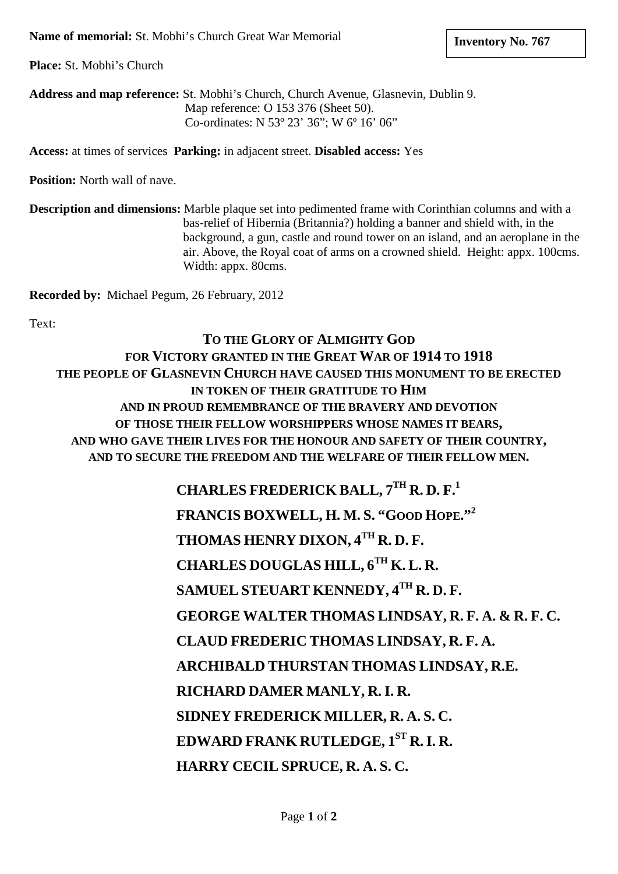**Place:** St. Mobhi's Church

**Address and map reference:** St. Mobhi's Church, Church Avenue, Glasnevin, Dublin 9. Map reference: O 153 376 (Sheet 50). Co-ordinates: N 53º 23' 36"; W 6º 16' 06"

**Access:** at times of services **Parking:** in adjacent street. **Disabled access:** Yes

**Position:** North wall of nave.

**Description and dimensions:** Marble plaque set into pedimented frame with Corinthian columns and with a bas-relief of Hibernia (Britannia?) holding a banner and shield with, in the background, a gun, castle and round tower on an island, and an aeroplane in the air. Above, the Royal coat of arms on a crowned shield. Height: appx. 100cms. Width: appx. 80cms.

**Recorded by:** Michael Pegum, 26 February, 2012

Text:

**TO THE GLORY OF ALMIGHTY GOD FOR VICTORY GRANTED IN THE GREAT WAR OF 1914 TO 1918 THE PEOPLE OF GLASNEVIN CHURCH HAVE CAUSED THIS MONUMENT TO BE ERECTED IN TOKEN OF THEIR GRATITUDE TO HIM AND IN PROUD REMEMBRANCE OF THE BRAVERY AND DEVOTION OF THOSE THEIR FELLOW WORSHIPPERS WHOSE NAMES IT BEARS, AND WHO GAVE THEIR LIVES FOR THE HONOUR AND SAFETY OF THEIR COUNTRY, AND TO SECURE THE FREEDOM AND THE WELFARE OF THEIR FELLOW MEN.**

> **CHARLES FREDERICK BALL, 7TH R. D. F.1 FRANCIS BOXWELL, H. M. S. "GOOD HOPE."2 THOMAS HENRY DIXON, 4TH R. D. F. CHARLES DOUGLAS HILL, 6TH K. L. R. SAMUEL STEUART KENNEDY, 4TH R. D. F. GEORGE WALTER THOMAS LINDSAY, R. F. A. & R. F. C. CLAUD FREDERIC THOMAS LINDSAY, R. F. A. ARCHIBALD THURSTAN THOMAS LINDSAY, R.E. RICHARD DAMER MANLY, R.I. R. SIDNEY FREDERICK MILLER, R. A. S. C. EDWARD FRANK RUTLEDGE, 1ST R.I. R. HARRY CECIL SPRUCE, R. A. S. C.**